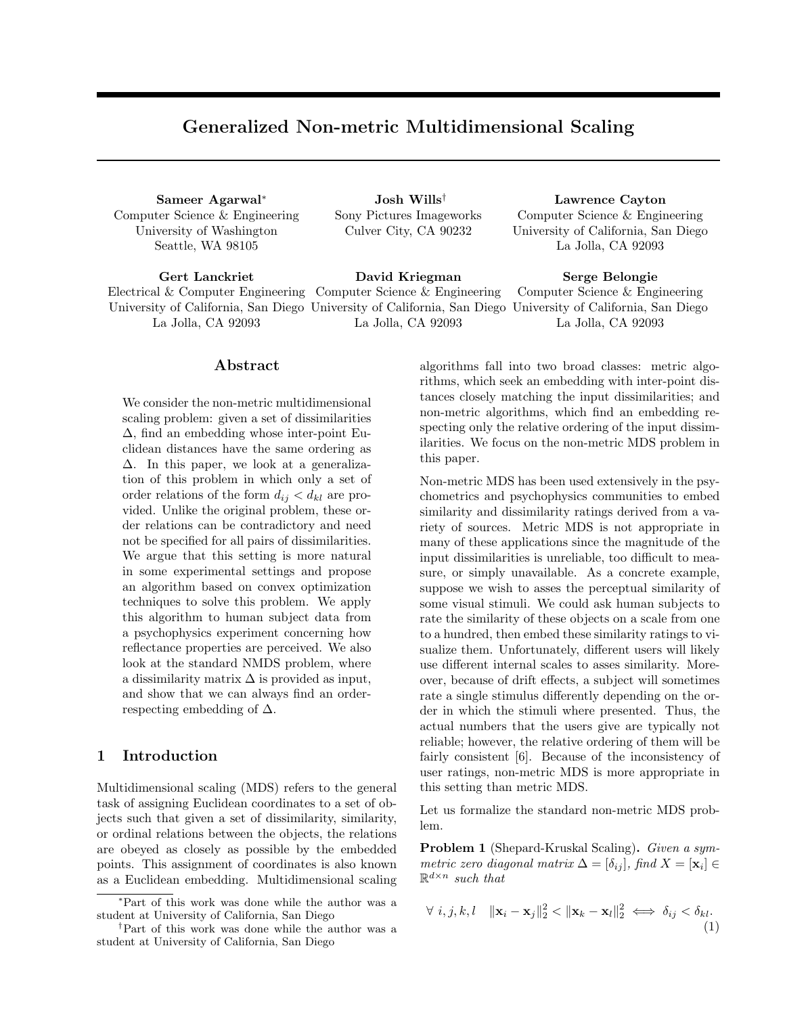# Generalized Non-metric Multidimensional Scaling

Sameer Agarwal<sup>∗</sup> Computer Science & Engineering University of Washington Seattle, WA 98105

Josh Wills† Sony Pictures Imageworks Culver City, CA 90232

Gert Lanckriet Electrical & Computer Engineering Computer Science & Engineering University of California, San Diego University of California, San Diego University of California, San Diego La Jolla, CA 92093 David Kriegman La Jolla, CA 92093

#### Abstract

We consider the non-metric multidimensional scaling problem: given a set of dissimilarities ∆, find an embedding whose inter-point Euclidean distances have the same ordering as ∆. In this paper, we look at a generalization of this problem in which only a set of order relations of the form  $d_{ij} < d_{kl}$  are provided. Unlike the original problem, these order relations can be contradictory and need not be specified for all pairs of dissimilarities. We argue that this setting is more natural in some experimental settings and propose an algorithm based on convex optimization techniques to solve this problem. We apply this algorithm to human subject data from a psychophysics experiment concerning how reflectance properties are perceived. We also look at the standard NMDS problem, where a dissimilarity matrix  $\Delta$  is provided as input, and show that we can always find an orderrespecting embedding of  $\Delta$ .

### 1 Introduction

Multidimensional scaling (MDS) refers to the general task of assigning Euclidean coordinates to a set of objects such that given a set of dissimilarity, similarity, or ordinal relations between the objects, the relations are obeyed as closely as possible by the embedded points. This assignment of coordinates is also known as a Euclidean embedding. Multidimensional scaling La Jolla, CA 92093 Serge Belongie

Computer Science & Engineering La Jolla, CA 92093

Lawrence Cayton Computer Science & Engineering University of California, San Diego

algorithms fall into two broad classes: metric algorithms, which seek an embedding with inter-point distances closely matching the input dissimilarities; and non-metric algorithms, which find an embedding respecting only the relative ordering of the input dissimilarities. We focus on the non-metric MDS problem in this paper.

Non-metric MDS has been used extensively in the psychometrics and psychophysics communities to embed similarity and dissimilarity ratings derived from a variety of sources. Metric MDS is not appropriate in many of these applications since the magnitude of the input dissimilarities is unreliable, too difficult to measure, or simply unavailable. As a concrete example, suppose we wish to asses the perceptual similarity of some visual stimuli. We could ask human subjects to rate the similarity of these objects on a scale from one to a hundred, then embed these similarity ratings to visualize them. Unfortunately, different users will likely use different internal scales to asses similarity. Moreover, because of drift effects, a subject will sometimes rate a single stimulus differently depending on the order in which the stimuli where presented. Thus, the actual numbers that the users give are typically not reliable; however, the relative ordering of them will be fairly consistent [6]. Because of the inconsistency of user ratings, non-metric MDS is more appropriate in this setting than metric MDS.

Let us formalize the standard non-metric MDS problem.

Problem 1 (Shepard-Kruskal Scaling). Given a symmetric zero diagonal matrix  $\Delta = [\delta_{ij}],$  find  $X = [\mathbf{x}_i] \in$  $\mathbb{R}^{d \times n}$  such that

$$
\forall i, j, k, l \quad \|\mathbf{x}_i - \mathbf{x}_j\|_2^2 < \|\mathbf{x}_k - \mathbf{x}_l\|_2^2 \iff \delta_{ij} < \delta_{kl}.\tag{1}
$$

<sup>∗</sup>Part of this work was done while the author was a student at University of California, San Diego

<sup>†</sup>Part of this work was done while the author was a student at University of California, San Diego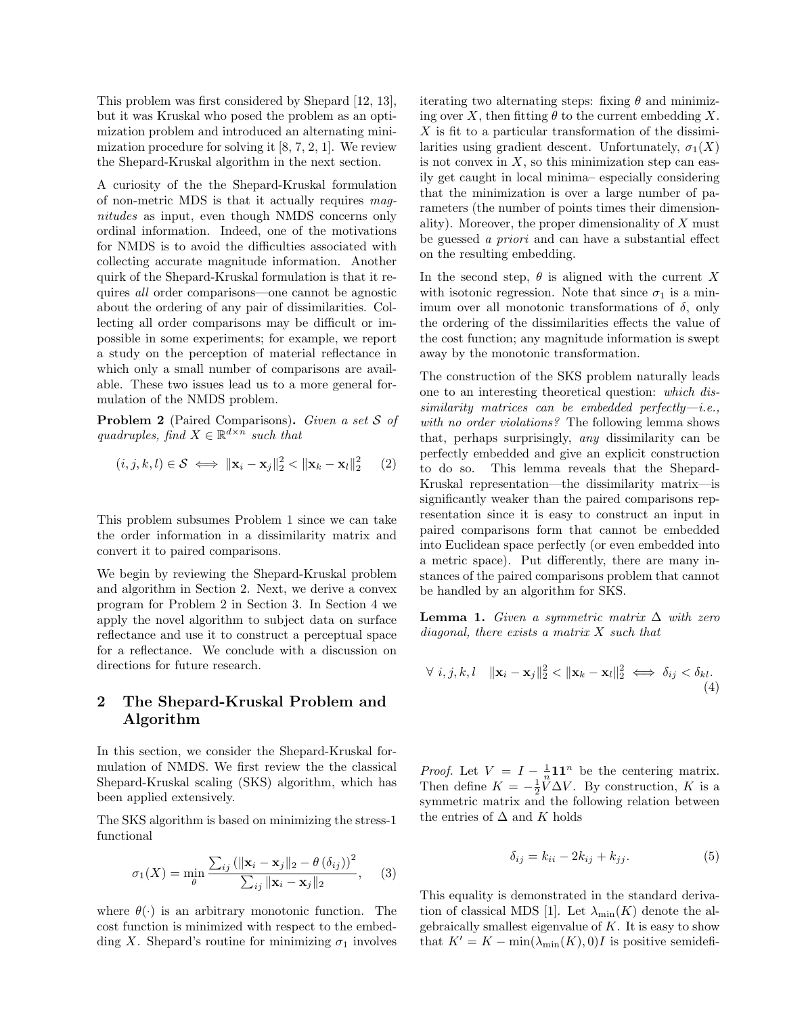This problem was first considered by Shepard [12, 13], but it was Kruskal who posed the problem as an optimization problem and introduced an alternating minimization procedure for solving it  $[8, 7, 2, 1]$ . We review the Shepard-Kruskal algorithm in the next section.

A curiosity of the the Shepard-Kruskal formulation of non-metric MDS is that it actually requires magnitudes as input, even though NMDS concerns only ordinal information. Indeed, one of the motivations for NMDS is to avoid the difficulties associated with collecting accurate magnitude information. Another quirk of the Shepard-Kruskal formulation is that it requires all order comparisons—one cannot be agnostic about the ordering of any pair of dissimilarities. Collecting all order comparisons may be difficult or impossible in some experiments; for example, we report a study on the perception of material reflectance in which only a small number of comparisons are available. These two issues lead us to a more general formulation of the NMDS problem.

Problem 2 (Paired Comparisons). Given a set S of quadruples, find  $X \in \mathbb{R}^{d \times n}$  such that

$$
(i, j, k, l) \in \mathcal{S} \iff \|\mathbf{x}_i - \mathbf{x}_j\|_2^2 < \|\mathbf{x}_k - \mathbf{x}_l\|_2^2 \tag{2}
$$

This problem subsumes Problem 1 since we can take the order information in a dissimilarity matrix and convert it to paired comparisons.

We begin by reviewing the Shepard-Kruskal problem and algorithm in Section 2. Next, we derive a convex program for Problem 2 in Section 3. In Section 4 we apply the novel algorithm to subject data on surface reflectance and use it to construct a perceptual space for a reflectance. We conclude with a discussion on directions for future research.

## 2 The Shepard-Kruskal Problem and Algorithm

In this section, we consider the Shepard-Kruskal formulation of NMDS. We first review the the classical Shepard-Kruskal scaling (SKS) algorithm, which has been applied extensively.

The SKS algorithm is based on minimizing the stress-1 functional

$$
\sigma_1(X) = \min_{\theta} \frac{\sum_{ij} (\|\mathbf{x}_i - \mathbf{x}_j\|_2 - \theta(\delta_{ij}))^2}{\sum_{ij} \|\mathbf{x}_i - \mathbf{x}_j\|_2}, \quad (3)
$$

where  $\theta(\cdot)$  is an arbitrary monotonic function. The cost function is minimized with respect to the embedding X. Shepard's routine for minimizing  $\sigma_1$  involves

iterating two alternating steps: fixing  $\theta$  and minimizing over X, then fitting  $\theta$  to the current embedding X. X is fit to a particular transformation of the dissimilarities using gradient descent. Unfortunately,  $\sigma_1(X)$ is not convex in  $X$ , so this minimization step can easily get caught in local minima– especially considering that the minimization is over a large number of parameters (the number of points times their dimensionality). Moreover, the proper dimensionality of  $X$  must be guessed a priori and can have a substantial effect on the resulting embedding.

In the second step,  $\theta$  is aligned with the current X with isotonic regression. Note that since  $\sigma_1$  is a minimum over all monotonic transformations of  $\delta$ , only the ordering of the dissimilarities effects the value of the cost function; any magnitude information is swept away by the monotonic transformation.

The construction of the SKS problem naturally leads one to an interesting theoretical question: which dissimilarity matrices can be embedded perfectly-i.e., with no order violations? The following lemma shows that, perhaps surprisingly, any dissimilarity can be perfectly embedded and give an explicit construction to do so. This lemma reveals that the Shepard-Kruskal representation—the dissimilarity matrix—is significantly weaker than the paired comparisons representation since it is easy to construct an input in paired comparisons form that cannot be embedded into Euclidean space perfectly (or even embedded into a metric space). Put differently, there are many instances of the paired comparisons problem that cannot be handled by an algorithm for SKS.

**Lemma 1.** Given a symmetric matrix  $\Delta$  with zero  $diagonal,$  there exists a matrix  $X$  such that

$$
\forall i, j, k, l \quad \|\mathbf{x}_i - \mathbf{x}_j\|_2^2 < \|\mathbf{x}_k - \mathbf{x}_l\|_2^2 \iff \delta_{ij} < \delta_{kl}.\tag{4}
$$

*Proof.* Let  $V = I - \frac{1}{n} \mathbf{1} \mathbf{1}^n$  be the centering matrix. Then define  $K = -\frac{1}{2}\tilde{V}\Delta V$ . By construction, K is a symmetric matrix and the following relation between the entries of  $\Delta$  and  $K$  holds

$$
\delta_{ij} = k_{ii} - 2k_{ij} + k_{jj}.
$$
\n<sup>(5)</sup>

This equality is demonstrated in the standard derivation of classical MDS [1]. Let  $\lambda_{\min}(K)$  denote the algebraically smallest eigenvalue of  $K$ . It is easy to show that  $K' = K - \min(\lambda_{\min}(K), 0)I$  is positive semidefi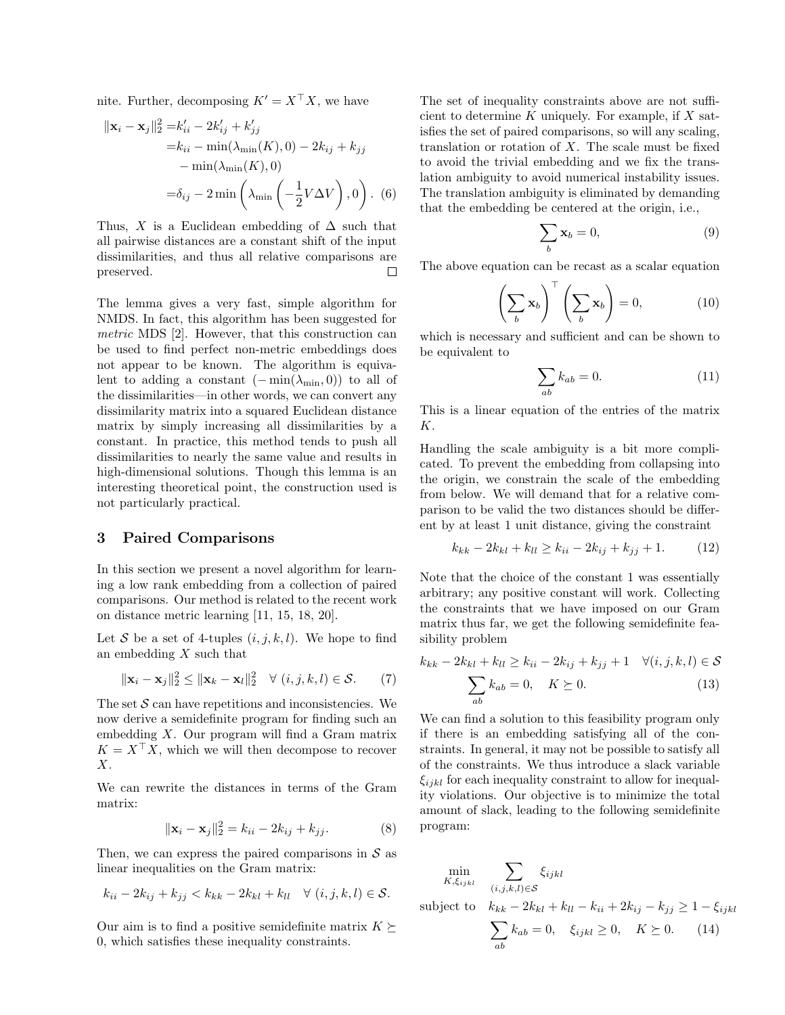nite. Further, decomposing  $K' = X^{\top} X$ , we have

$$
\|\mathbf{x}_i - \mathbf{x}_j\|_2^2 = k'_{ii} - 2k'_{ij} + k'_{jj}
$$
  
= k<sub>ii</sub> - min( $\lambda_{\min}(K)$ , 0) - 2k<sub>ij</sub> + k<sub>jj</sub>  
- min( $\lambda_{\min}(K)$ , 0)  
=  $\delta_{ij} - 2 \min \left( \lambda_{\min} \left( -\frac{1}{2} V \Delta V \right), 0 \right)$ . (6)

Thus, X is a Euclidean embedding of  $\Delta$  such that all pairwise distances are a constant shift of the input dissimilarities, and thus all relative comparisons are preserved.  $\Box$ 

The lemma gives a very fast, simple algorithm for NMDS. In fact, this algorithm has been suggested for metric MDS [2]. However, that this construction can be used to find perfect non-metric embeddings does not appear to be known. The algorithm is equivalent to adding a constant  $(-\min(\lambda_{\min}, 0))$  to all of the dissimilarities—in other words, we can convert any dissimilarity matrix into a squared Euclidean distance matrix by simply increasing all dissimilarities by a constant. In practice, this method tends to push all dissimilarities to nearly the same value and results in high-dimensional solutions. Though this lemma is an interesting theoretical point, the construction used is not particularly practical.

### 3 Paired Comparisons

In this section we present a novel algorithm for learning a low rank embedding from a collection of paired comparisons. Our method is related to the recent work on distance metric learning [11, 15, 18, 20].

Let S be a set of 4-tuples  $(i, j, k, l)$ . We hope to find an embedding  $X$  such that

$$
\|\mathbf{x}_i - \mathbf{x}_j\|_2^2 \le \|\mathbf{x}_k - \mathbf{x}_l\|_2^2 \quad \forall \ (i, j, k, l) \in \mathcal{S}.
$$
 (7)

The set  $S$  can have repetitions and inconsistencies. We now derive a semidefinite program for finding such an embedding X. Our program will find a Gram matrix  $K = X^{\top} X$ , which we will then decompose to recover  $X$ .

We can rewrite the distances in terms of the Gram matrix:

$$
\|\mathbf{x}_i - \mathbf{x}_j\|_2^2 = k_{ii} - 2k_{ij} + k_{jj}.
$$
 (8)

Then, we can express the paired comparisons in  $S$  as linear inequalities on the Gram matrix:

$$
k_{ii}-2k_{ij}+k_{jj} < k_{kk}-2k_{kl}+k_{ll} \quad \forall \ (i,j,k,l) \in \mathcal{S}.
$$

Our aim is to find a positive semidefinite matrix  $K \succeq$ 0, which satisfies these inequality constraints.

The set of inequality constraints above are not sufficient to determine  $K$  uniquely. For example, if  $X$  satisfies the set of paired comparisons, so will any scaling, translation or rotation of  $X$ . The scale must be fixed to avoid the trivial embedding and we fix the translation ambiguity to avoid numerical instability issues. The translation ambiguity is eliminated by demanding that the embedding be centered at the origin, i.e.,

$$
\sum_{b} \mathbf{x}_b = 0,\tag{9}
$$

The above equation can be recast as a scalar equation

$$
\left(\sum_{b} \mathbf{x}_{b}\right)^{\top} \left(\sum_{b} \mathbf{x}_{b}\right) = 0, \tag{10}
$$

which is necessary and sufficient and can be shown to be equivalent to

$$
\sum_{ab} k_{ab} = 0.
$$
 (11)

This is a linear equation of the entries of the matrix K.

Handling the scale ambiguity is a bit more complicated. To prevent the embedding from collapsing into the origin, we constrain the scale of the embedding from below. We will demand that for a relative comparison to be valid the two distances should be different by at least 1 unit distance, giving the constraint

$$
k_{kk} - 2k_{kl} + k_{ll} \ge k_{ii} - 2k_{ij} + k_{jj} + 1.
$$
 (12)

Note that the choice of the constant 1 was essentially arbitrary; any positive constant will work. Collecting the constraints that we have imposed on our Gram matrix thus far, we get the following semidefinite feasibility problem

$$
k_{kk} - 2k_{kl} + k_{ll} \ge k_{ii} - 2k_{ij} + k_{jj} + 1 \quad \forall (i, j, k, l) \in \mathcal{S}
$$

$$
\sum_{ab} k_{ab} = 0, \quad K \succeq 0.
$$
 (13)

We can find a solution to this feasibility program only if there is an embedding satisfying all of the constraints. In general, it may not be possible to satisfy all of the constraints. We thus introduce a slack variable  $\xi_{ijkl}$  for each inequality constraint to allow for inequality violations. Our objective is to minimize the total amount of slack, leading to the following semidefinite program:

$$
\min_{K, \xi_{ijkl}} \quad \sum_{(i,j,k,l) \in \mathcal{S}} \xi_{ijkl}
$$

subject to  $k_{kk} - 2k_{kl} + k_{ll} - k_{ii} + 2k_{ij} - k_{jj} \ge 1 - \xi_{ijkl}$ 

$$
\sum_{ab} k_{ab} = 0, \quad \xi_{ijkl} \ge 0, \quad K \succeq 0. \tag{14}
$$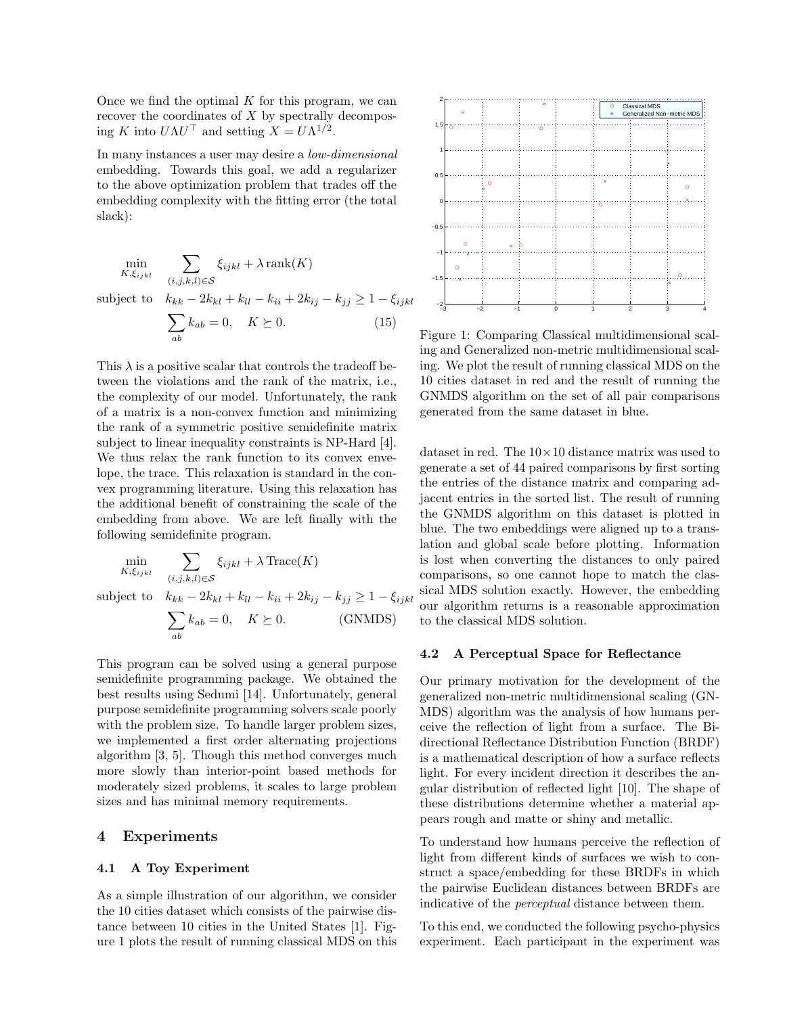Once we find the optimal  $K$  for this program, we can recover the coordinates of  $X$  by spectrally decomposing K into  $U\Lambda U^{\top}$  and setting  $X = U\Lambda^{1/2}$ .

In many instances a user may desire a low-dimensional embedding. Towards this goal, we add a regularizer to the above optimization problem that trades off the embedding complexity with the fitting error (the total slack):

$$
\min_{K, \xi_{ijkl}} \sum_{(i,j,k,l) \in S} \xi_{ijkl} + \lambda \operatorname{rank}(K)
$$
\n
$$
\text{subject to} \quad k_{kk} - 2k_{kl} + k_{ll} - k_{ii} + 2k_{ij} - k_{jj} \ge 1 - \xi_{ijkl}
$$
\n
$$
\sum_{ab} k_{ab} = 0, \quad K \succeq 0. \tag{15}
$$

This  $\lambda$  is a positive scalar that controls the tradeoff between the violations and the rank of the matrix, i.e., the complexity of our model. Unfortunately, the rank of a matrix is a non-convex function and minimizing the rank of a symmetric positive semidefinite matrix subject to linear inequality constraints is NP-Hard [4]. We thus relax the rank function to its convex envelope, the trace. This relaxation is standard in the convex programming literature. Using this relaxation has the additional benefit of constraining the scale of the embedding from above. We are left finally with the following semidefinite program.

$$
\min_{K, \xi_{ijkl}} \sum_{(i,j,k,l) \in S} \xi_{ijkl} + \lambda \operatorname{Trace}(K)
$$
\n
$$
\text{subject to} \quad k_{kk} - 2k_{kl} + k_{ll} - k_{ii} + 2k_{ij} - k_{jj} \ge 1 - \xi_{ijkl}
$$
\n
$$
\sum k_{ab} = 0, \quad K \succeq 0. \tag{GNMDS}
$$

This program can be solved using a general purpose semidefinite programming package. We obtained the best results using Sedumi [14]. Unfortunately, general purpose semidefinite programming solvers scale poorly with the problem size. To handle larger problem sizes, we implemented a first order alternating projections algorithm [3, 5]. Though this method converges much more slowly than interior-point based methods for moderately sized problems, it scales to large problem sizes and has minimal memory requirements.

#### 4 Experiments

#### 4.1 A Toy Experiment

ab

As a simple illustration of our algorithm, we consider the 10 cities dataset which consists of the pairwise distance between 10 cities in the United States [1]. Figure 1 plots the result of running classical MDS on this



Figure 1: Comparing Classical multidimensional scaling and Generalized non-metric multidimensional scaling. We plot the result of running classical MDS on the 10 cities dataset in red and the result of running the GNMDS algorithm on the set of all pair comparisons generated from the same dataset in blue.

dataset in red. The  $10 \times 10$  distance matrix was used to generate a set of 44 paired comparisons by first sorting the entries of the distance matrix and comparing adjacent entries in the sorted list. The result of running the GNMDS algorithm on this dataset is plotted in blue. The two embeddings were aligned up to a translation and global scale before plotting. Information is lost when converting the distances to only paired comparisons, so one cannot hope to match the classical MDS solution exactly. However, the embedding our algorithm returns is a reasonable approximation to the classical MDS solution.

#### 4.2 A Perceptual Space for Reflectance

Our primary motivation for the development of the generalized non-metric multidimensional scaling (GN-MDS) algorithm was the analysis of how humans perceive the reflection of light from a surface. The Bidirectional Reflectance Distribution Function (BRDF) is a mathematical description of how a surface reflects light. For every incident direction it describes the angular distribution of reflected light [10]. The shape of these distributions determine whether a material appears rough and matte or shiny and metallic.

To understand how humans perceive the reflection of light from different kinds of surfaces we wish to construct a space/embedding for these BRDFs in which the pairwise Euclidean distances between BRDFs are indicative of the perceptual distance between them.

To this end, we conducted the following psycho-physics experiment. Each participant in the experiment was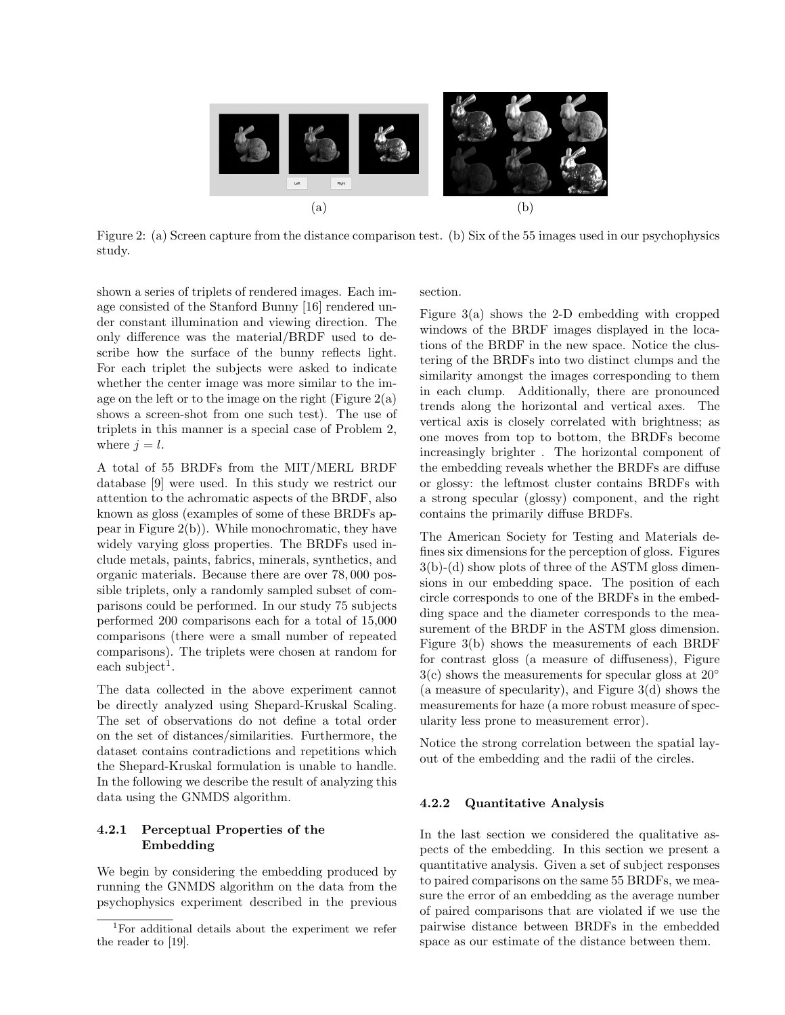

Figure 2: (a) Screen capture from the distance comparison test. (b) Six of the 55 images used in our psychophysics study.

shown a series of triplets of rendered images. Each image consisted of the Stanford Bunny [16] rendered under constant illumination and viewing direction. The only difference was the material/BRDF used to describe how the surface of the bunny reflects light. For each triplet the subjects were asked to indicate whether the center image was more similar to the image on the left or to the image on the right (Figure  $2(a)$ ) shows a screen-shot from one such test). The use of triplets in this manner is a special case of Problem 2, where  $j = l$ .

A total of 55 BRDFs from the MIT/MERL BRDF database [9] were used. In this study we restrict our attention to the achromatic aspects of the BRDF, also known as gloss (examples of some of these BRDFs appear in Figure 2(b)). While monochromatic, they have widely varying gloss properties. The BRDFs used include metals, paints, fabrics, minerals, synthetics, and organic materials. Because there are over 78, 000 possible triplets, only a randomly sampled subset of comparisons could be performed. In our study 75 subjects performed 200 comparisons each for a total of 15,000 comparisons (there were a small number of repeated comparisons). The triplets were chosen at random for  $each \ subject<sup>1</sup>.$ 

The data collected in the above experiment cannot be directly analyzed using Shepard-Kruskal Scaling. The set of observations do not define a total order on the set of distances/similarities. Furthermore, the dataset contains contradictions and repetitions which the Shepard-Kruskal formulation is unable to handle. In the following we describe the result of analyzing this data using the GNMDS algorithm.

### 4.2.1 Perceptual Properties of the Embedding

We begin by considering the embedding produced by running the GNMDS algorithm on the data from the psychophysics experiment described in the previous

section.

Figure 3(a) shows the 2-D embedding with cropped windows of the BRDF images displayed in the locations of the BRDF in the new space. Notice the clustering of the BRDFs into two distinct clumps and the similarity amongst the images corresponding to them in each clump. Additionally, there are pronounced trends along the horizontal and vertical axes. The vertical axis is closely correlated with brightness; as one moves from top to bottom, the BRDFs become increasingly brighter . The horizontal component of the embedding reveals whether the BRDFs are diffuse or glossy: the leftmost cluster contains BRDFs with a strong specular (glossy) component, and the right contains the primarily diffuse BRDFs.

The American Society for Testing and Materials defines six dimensions for the perception of gloss. Figures 3(b)-(d) show plots of three of the ASTM gloss dimensions in our embedding space. The position of each circle corresponds to one of the BRDFs in the embedding space and the diameter corresponds to the measurement of the BRDF in the ASTM gloss dimension. Figure 3(b) shows the measurements of each BRDF for contrast gloss (a measure of diffuseness), Figure  $3(c)$  shows the measurements for specular gloss at  $20°$ (a measure of specularity), and Figure 3(d) shows the measurements for haze (a more robust measure of specularity less prone to measurement error).

Notice the strong correlation between the spatial layout of the embedding and the radii of the circles.

### 4.2.2 Quantitative Analysis

In the last section we considered the qualitative aspects of the embedding. In this section we present a quantitative analysis. Given a set of subject responses to paired comparisons on the same 55 BRDFs, we measure the error of an embedding as the average number of paired comparisons that are violated if we use the pairwise distance between BRDFs in the embedded space as our estimate of the distance between them.

<sup>1</sup>For additional details about the experiment we refer the reader to [19].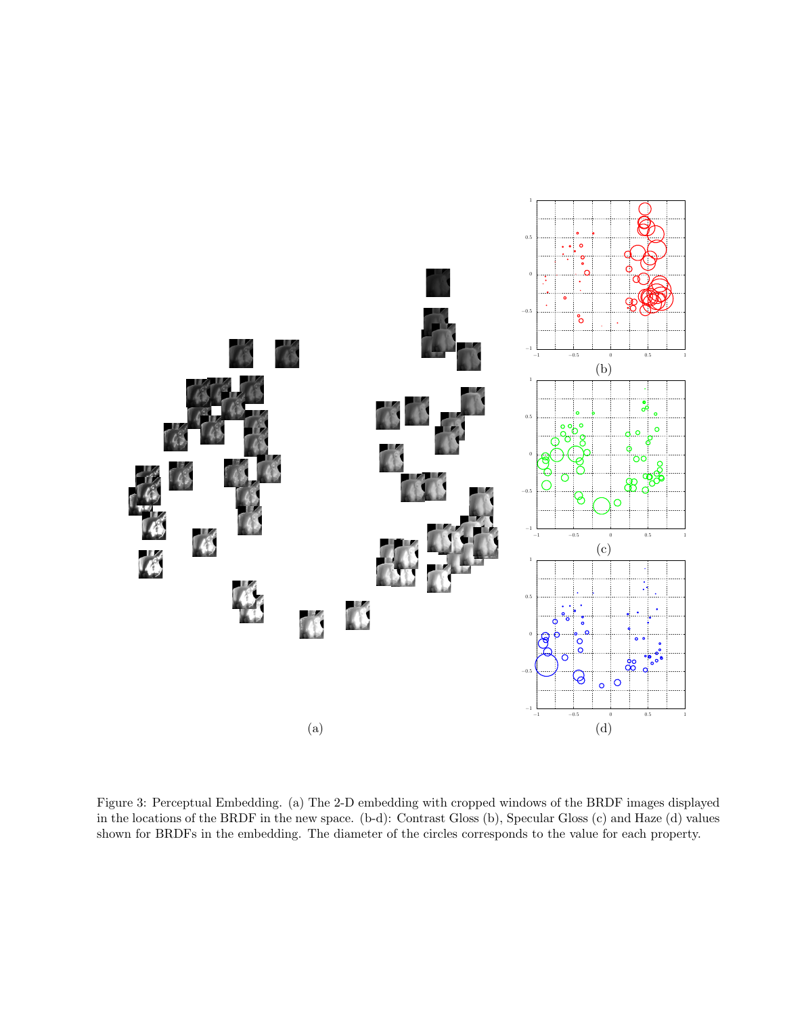

Figure 3: Perceptual Embedding. (a) The 2-D embedding with cropped windows of the BRDF images displayed in the locations of the BRDF in the new space. (b-d): Contrast Gloss (b), Specular Gloss (c) and Haze (d) values shown for BRDFs in the embedding. The diameter of the circles corresponds to the value for each property.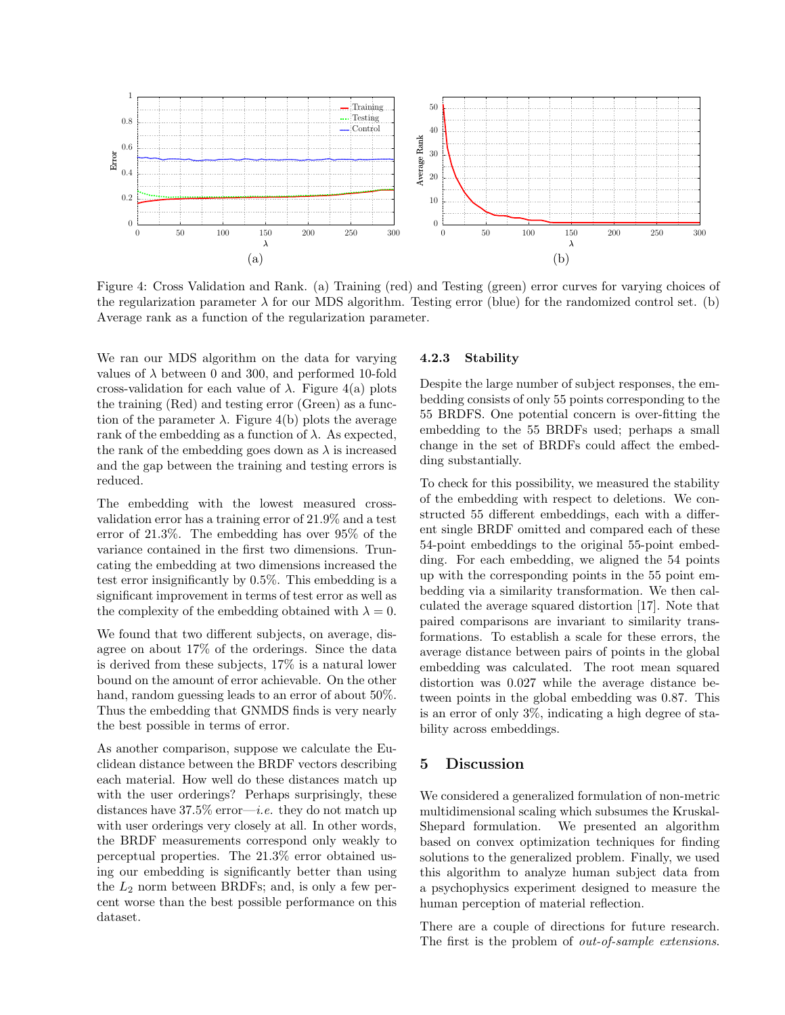

Figure 4: Cross Validation and Rank. (a) Training (red) and Testing (green) error curves for varying choices of the regularization parameter  $\lambda$  for our MDS algorithm. Testing error (blue) for the randomized control set. (b) Average rank as a function of the regularization parameter.

We ran our MDS algorithm on the data for varying values of  $\lambda$  between 0 and 300, and performed 10-fold cross-validation for each value of  $\lambda$ . Figure 4(a) plots the training (Red) and testing error (Green) as a function of the parameter  $\lambda$ . Figure 4(b) plots the average rank of the embedding as a function of  $\lambda$ . As expected, the rank of the embedding goes down as  $\lambda$  is increased and the gap between the training and testing errors is reduced.

The embedding with the lowest measured crossvalidation error has a training error of 21.9% and a test error of 21.3%. The embedding has over 95% of the variance contained in the first two dimensions. Truncating the embedding at two dimensions increased the test error insignificantly by 0.5%. This embedding is a significant improvement in terms of test error as well as the complexity of the embedding obtained with  $\lambda = 0$ .

We found that two different subjects, on average, disagree on about 17% of the orderings. Since the data is derived from these subjects, 17% is a natural lower bound on the amount of error achievable. On the other hand, random guessing leads to an error of about 50%. Thus the embedding that GNMDS finds is very nearly the best possible in terms of error.

As another comparison, suppose we calculate the Euclidean distance between the BRDF vectors describing each material. How well do these distances match up with the user orderings? Perhaps surprisingly, these distances have  $37.5\%$  error—*i.e.* they do not match up with user orderings very closely at all. In other words, the BRDF measurements correspond only weakly to perceptual properties. The 21.3% error obtained using our embedding is significantly better than using the  $L_2$  norm between BRDFs; and, is only a few percent worse than the best possible performance on this dataset.

### 4.2.3 Stability

Despite the large number of subject responses, the embedding consists of only 55 points corresponding to the 55 BRDFS. One potential concern is over-fitting the embedding to the 55 BRDFs used; perhaps a small change in the set of BRDFs could affect the embedding substantially.

To check for this possibility, we measured the stability of the embedding with respect to deletions. We constructed 55 different embeddings, each with a different single BRDF omitted and compared each of these 54-point embeddings to the original 55-point embedding. For each embedding, we aligned the 54 points up with the corresponding points in the 55 point embedding via a similarity transformation. We then calculated the average squared distortion [17]. Note that paired comparisons are invariant to similarity transformations. To establish a scale for these errors, the average distance between pairs of points in the global embedding was calculated. The root mean squared distortion was 0.027 while the average distance between points in the global embedding was 0.87. This is an error of only 3%, indicating a high degree of stability across embeddings.

### 5 Discussion

We considered a generalized formulation of non-metric multidimensional scaling which subsumes the Kruskal-Shepard formulation. We presented an algorithm based on convex optimization techniques for finding solutions to the generalized problem. Finally, we used this algorithm to analyze human subject data from a psychophysics experiment designed to measure the human perception of material reflection.

There are a couple of directions for future research. The first is the problem of out-of-sample extensions.